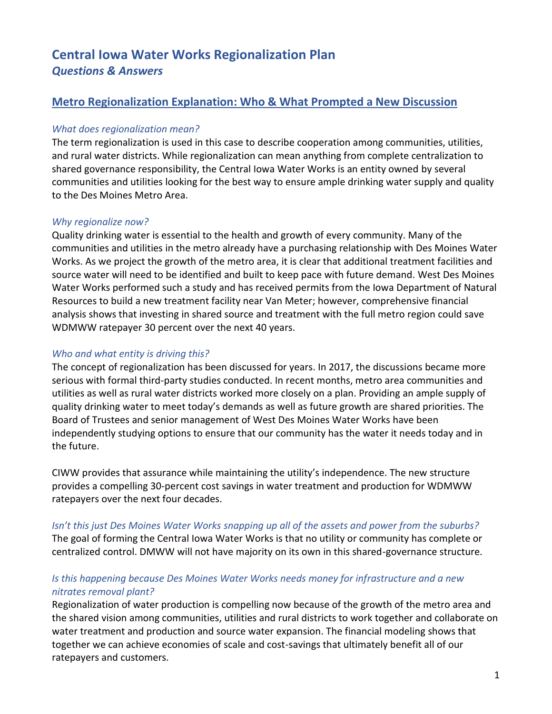# **Central Iowa Water Works Regionalization Plan** *Questions & Answers*

# **Metro Regionalization Explanation: Who & What Prompted a New Discussion**

# *What does regionalization mean?*

The term regionalization is used in this case to describe cooperation among communities, utilities, and rural water districts. While regionalization can mean anything from complete centralization to shared governance responsibility, the Central Iowa Water Works is an entity owned by several communities and utilities looking for the best way to ensure ample drinking water supply and quality to the Des Moines Metro Area.

# *Why regionalize now?*

Quality drinking water is essential to the health and growth of every community. Many of the communities and utilities in the metro already have a purchasing relationship with Des Moines Water Works. As we project the growth of the metro area, it is clear that additional treatment facilities and source water will need to be identified and built to keep pace with future demand. West Des Moines Water Works performed such a study and has received permits from the Iowa Department of Natural Resources to build a new treatment facility near Van Meter; however, comprehensive financial analysis shows that investing in shared source and treatment with the full metro region could save WDMWW ratepayer 30 percent over the next 40 years.

# *Who and what entity is driving this?*

The concept of regionalization has been discussed for years. In 2017, the discussions became more serious with formal third-party studies conducted. In recent months, metro area communities and utilities as well as rural water districts worked more closely on a plan. Providing an ample supply of quality drinking water to meet today's demands as well as future growth are shared priorities. The Board of Trustees and senior management of West Des Moines Water Works have been independently studying options to ensure that our community has the water it needs today and in the future.

CIWW provides that assurance while maintaining the utility's independence. The new structure provides a compelling 30-percent cost savings in water treatment and production for WDMWW ratepayers over the next four decades.

### *Isn't this just Des Moines Water Works snapping up all of the assets and power from the suburbs?*

The goal of forming the Central Iowa Water Works is that no utility or community has complete or centralized control. DMWW will not have majority on its own in this shared-governance structure.

# *Is this happening because Des Moines Water Works needs money for infrastructure and a new nitrates removal plant?*

Regionalization of water production is compelling now because of the growth of the metro area and the shared vision among communities, utilities and rural districts to work together and collaborate on water treatment and production and source water expansion. The financial modeling shows that together we can achieve economies of scale and cost-savings that ultimately benefit all of our ratepayers and customers.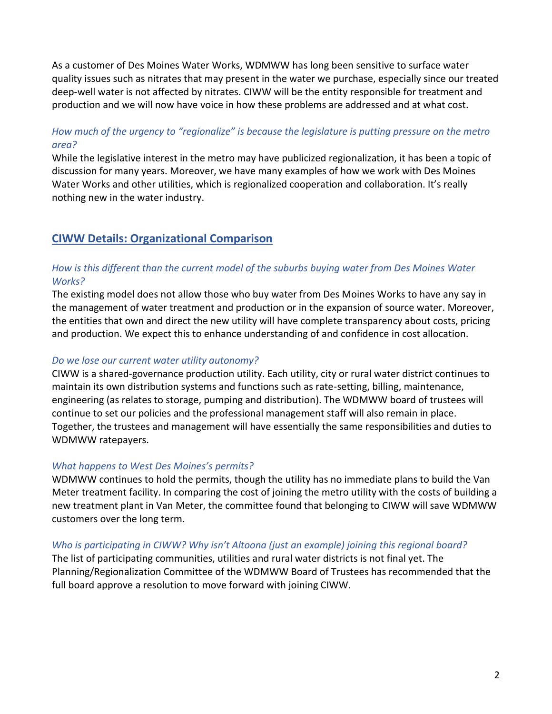As a customer of Des Moines Water Works, WDMWW has long been sensitive to surface water quality issues such as nitrates that may present in the water we purchase, especially since our treated deep-well water is not affected by nitrates. CIWW will be the entity responsible for treatment and production and we will now have voice in how these problems are addressed and at what cost.

# *How much of the urgency to "regionalize" is because the legislature is putting pressure on the metro area?*

While the legislative interest in the metro may have publicized regionalization, it has been a topic of discussion for many years. Moreover, we have many examples of how we work with Des Moines Water Works and other utilities, which is regionalized cooperation and collaboration. It's really nothing new in the water industry.

# **CIWW Details: Organizational Comparison**

## *How is this different than the current model of the suburbs buying water from Des Moines Water Works?*

The existing model does not allow those who buy water from Des Moines Works to have any say in the management of water treatment and production or in the expansion of source water. Moreover, the entities that own and direct the new utility will have complete transparency about costs, pricing and production. We expect this to enhance understanding of and confidence in cost allocation.

### *Do we lose our current water utility autonomy?*

CIWW is a shared-governance production utility. Each utility, city or rural water district continues to maintain its own distribution systems and functions such as rate-setting, billing, maintenance, engineering (as relates to storage, pumping and distribution). The WDMWW board of trustees will continue to set our policies and the professional management staff will also remain in place. Together, the trustees and management will have essentially the same responsibilities and duties to WDMWW ratepayers.

### *What happens to West Des Moines's permits?*

WDMWW continues to hold the permits, though the utility has no immediate plans to build the Van Meter treatment facility. In comparing the cost of joining the metro utility with the costs of building a new treatment plant in Van Meter, the committee found that belonging to CIWW will save WDMWW customers over the long term.

### *Who is participating in CIWW? Why isn't Altoona (just an example) joining this regional board?*

The list of participating communities, utilities and rural water districts is not final yet. The Planning/Regionalization Committee of the WDMWW Board of Trustees has recommended that the full board approve a resolution to move forward with joining CIWW.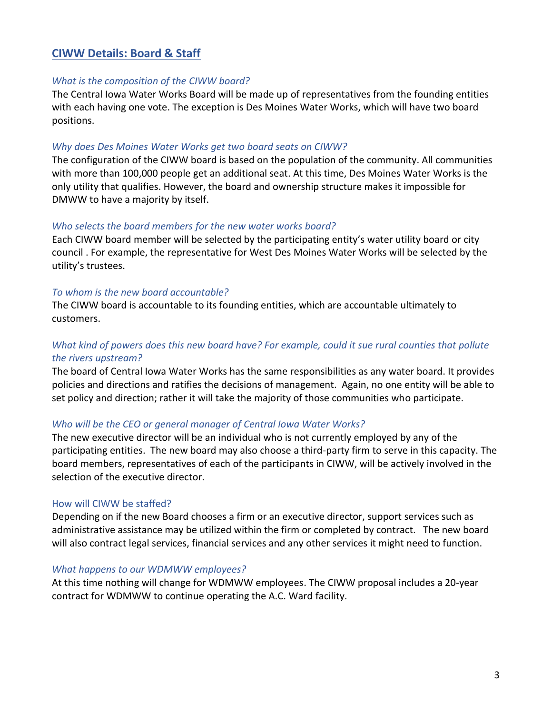# **CIWW Details: Board & Staff**

#### *What is the composition of the CIWW board?*

The Central Iowa Water Works Board will be made up of representatives from the founding entities with each having one vote. The exception is Des Moines Water Works, which will have two board positions.

#### *Why does Des Moines Water Works get two board seats on CIWW?*

The configuration of the CIWW board is based on the population of the community. All communities with more than 100,000 people get an additional seat. At this time, Des Moines Water Works is the only utility that qualifies. However, the board and ownership structure makes it impossible for DMWW to have a majority by itself.

#### *Who selects the board members for the new water works board?*

Each CIWW board member will be selected by the participating entity's water utility board or city council . For example, the representative for West Des Moines Water Works will be selected by the utility's trustees.

#### *To whom is the new board accountable?*

The CIWW board is accountable to its founding entities, which are accountable ultimately to customers.

### *What kind of powers does this new board have? For example, could it sue rural counties that pollute the rivers upstream?*

The board of Central Iowa Water Works has the same responsibilities as any water board. It provides policies and directions and ratifies the decisions of management. Again, no one entity will be able to set policy and direction; rather it will take the majority of those communities who participate.

#### *Who will be the CEO or general manager of Central Iowa Water Works?*

The new executive director will be an individual who is not currently employed by any of the participating entities. The new board may also choose a third-party firm to serve in this capacity. The board members, representatives of each of the participants in CIWW, will be actively involved in the selection of the executive director.

#### How will CIWW be staffed?

Depending on if the new Board chooses a firm or an executive director, support services such as administrative assistance may be utilized within the firm or completed by contract. The new board will also contract legal services, financial services and any other services it might need to function.

#### *What happens to our WDMWW employees?*

At this time nothing will change for WDMWW employees. The CIWW proposal includes a 20-year contract for WDMWW to continue operating the A.C. Ward facility.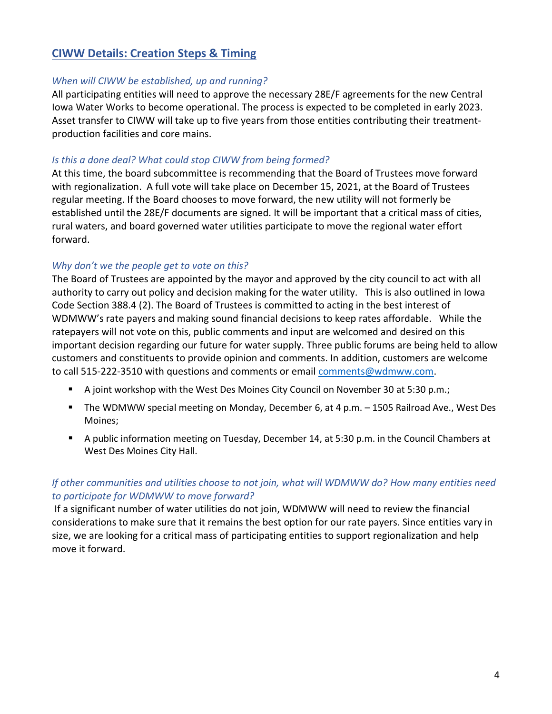# **CIWW Details: Creation Steps & Timing**

### *When will CIWW be established, up and running?*

All participating entities will need to approve the necessary 28E/F agreements for the new Central Iowa Water Works to become operational. The process is expected to be completed in early 2023. Asset transfer to CIWW will take up to five years from those entities contributing their treatmentproduction facilities and core mains.

### *Is this a done deal? What could stop CIWW from being formed?*

At this time, the board subcommittee is recommending that the Board of Trustees move forward with regionalization. A full vote will take place on December 15, 2021, at the Board of Trustees regular meeting. If the Board chooses to move forward, the new utility will not formerly be established until the 28E/F documents are signed. It will be important that a critical mass of cities, rural waters, and board governed water utilities participate to move the regional water effort forward.

### *Why don't we the people get to vote on this?*

The Board of Trustees are appointed by the mayor and approved by the city council to act with all authority to carry out policy and decision making for the water utility. This is also outlined in Iowa Code Section 388.4 (2). The Board of Trustees is committed to acting in the best interest of WDMWW's rate payers and making sound financial decisions to keep rates affordable. While the ratepayers will not vote on this, public comments and input are welcomed and desired on this important decision regarding our future for water supply. Three public forums are being held to allow customers and constituents to provide opinion and comments. In addition, customers are welcome to call 515-222-3510 with questions and comments or email [comments@wdmww.com.](mailto:comments@wdmww.com)

- A joint workshop with the West Des Moines City Council on November 30 at 5:30 p.m.;
- The WDMWW special meeting on Monday, December 6, at 4 p.m. 1505 Railroad Ave., West Des Moines;
- A public information meeting on Tuesday, December 14, at 5:30 p.m. in the Council Chambers at West Des Moines City Hall.

# *If other communities and utilities choose to not join, what will WDMWW do? How many entities need to participate for WDMWW to move forward?*

If a significant number of water utilities do not join, WDMWW will need to review the financial considerations to make sure that it remains the best option for our rate payers. Since entities vary in size, we are looking for a critical mass of participating entities to support regionalization and help move it forward.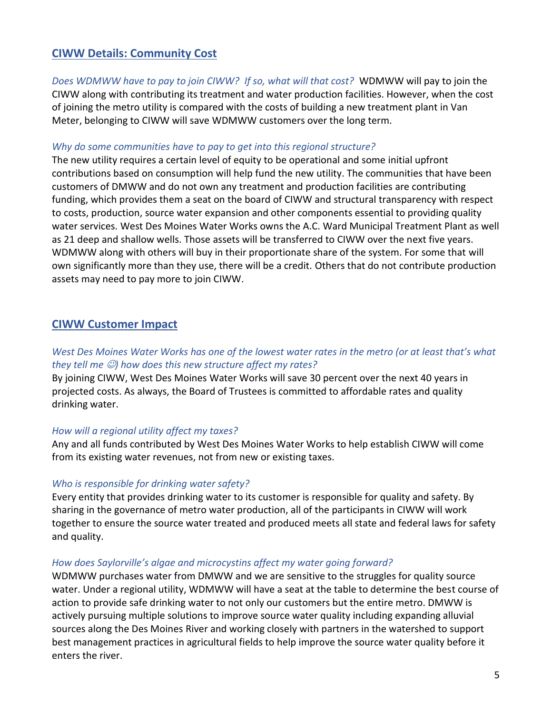# **CIWW Details: Community Cost**

*Does WDMWW have to pay to join CIWW? If so, what will that cost?* WDMWW will pay to join the CIWW along with contributing its treatment and water production facilities. However, when the cost of joining the metro utility is compared with the costs of building a new treatment plant in Van Meter, belonging to CIWW will save WDMWW customers over the long term.

### *Why do some communities have to pay to get into this regional structure?*

The new utility requires a certain level of equity to be operational and some initial upfront contributions based on consumption will help fund the new utility. The communities that have been customers of DMWW and do not own any treatment and production facilities are contributing funding, which provides them a seat on the board of CIWW and structural transparency with respect to costs, production, source water expansion and other components essential to providing quality water services. West Des Moines Water Works owns the A.C. Ward Municipal Treatment Plant as well as 21 deep and shallow wells. Those assets will be transferred to CIWW over the next five years. WDMWW along with others will buy in their proportionate share of the system. For some that will own significantly more than they use, there will be a credit. Others that do not contribute production assets may need to pay more to join CIWW.

# **CIWW Customer Impact**

# *West Des Moines Water Works has one of the lowest water rates in the metro (or at least that's what they tell me* ☺*) how does this new structure affect my rates?*

By joining CIWW, West Des Moines Water Works will save 30 percent over the next 40 years in projected costs. As always, the Board of Trustees is committed to affordable rates and quality drinking water.

### *How will a regional utility affect my taxes?*

Any and all funds contributed by West Des Moines Water Works to help establish CIWW will come from its existing water revenues, not from new or existing taxes.

### *Who is responsible for drinking water safety?*

Every entity that provides drinking water to its customer is responsible for quality and safety. By sharing in the governance of metro water production, all of the participants in CIWW will work together to ensure the source water treated and produced meets all state and federal laws for safety and quality.

### *How does Saylorville's algae and microcystins affect my water going forward?*

WDMWW purchases water from DMWW and we are sensitive to the struggles for quality source water. Under a regional utility, WDMWW will have a seat at the table to determine the best course of action to provide safe drinking water to not only our customers but the entire metro. DMWW is actively pursuing multiple solutions to improve source water quality including expanding alluvial sources along the Des Moines River and working closely with partners in the watershed to support best management practices in agricultural fields to help improve the source water quality before it enters the river.